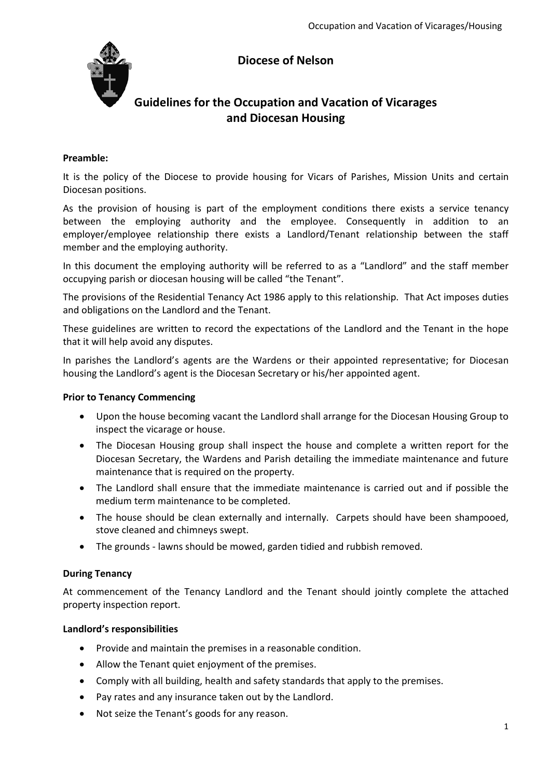# **Diocese of Nelson**



# **Guidelines for the Occupation and Vacation of Vicarages and Diocesan Housing**

#### **Preamble:**

It is the policy of the Diocese to provide housing for Vicars of Parishes, Mission Units and certain Diocesan positions.

As the provision of housing is part of the employment conditions there exists a service tenancy between the employing authority and the employee. Consequently in addition to an employer/employee relationship there exists a Landlord/Tenant relationship between the staff member and the employing authority.

In this document the employing authority will be referred to as a "Landlord" and the staff member occupying parish or diocesan housing will be called "the Tenant".

The provisions of the Residential Tenancy Act 1986 apply to this relationship. That Act imposes duties and obligations on the Landlord and the Tenant.

These guidelines are written to record the expectations of the Landlord and the Tenant in the hope that it will help avoid any disputes.

In parishes the Landlord's agents are the Wardens or their appointed representative; for Diocesan housing the Landlord's agent is the Diocesan Secretary or his/her appointed agent.

#### **Prior to Tenancy Commencing**

- Upon the house becoming vacant the Landlord shall arrange for the Diocesan Housing Group to inspect the vicarage or house.
- The Diocesan Housing group shall inspect the house and complete a written report for the Diocesan Secretary, the Wardens and Parish detailing the immediate maintenance and future maintenance that is required on the property.
- The Landlord shall ensure that the immediate maintenance is carried out and if possible the medium term maintenance to be completed.
- The house should be clean externally and internally. Carpets should have been shampooed, stove cleaned and chimneys swept.
- The grounds lawns should be mowed, garden tidied and rubbish removed.

# **During Tenancy**

At commencement of the Tenancy Landlord and the Tenant should jointly complete the attached property inspection report.

#### **Landlord's responsibilities**

- Provide and maintain the premises in a reasonable condition.
- Allow the Tenant quiet enjoyment of the premises.
- Comply with all building, health and safety standards that apply to the premises.
- Pay rates and any insurance taken out by the Landlord.
- Not seize the Tenant's goods for any reason.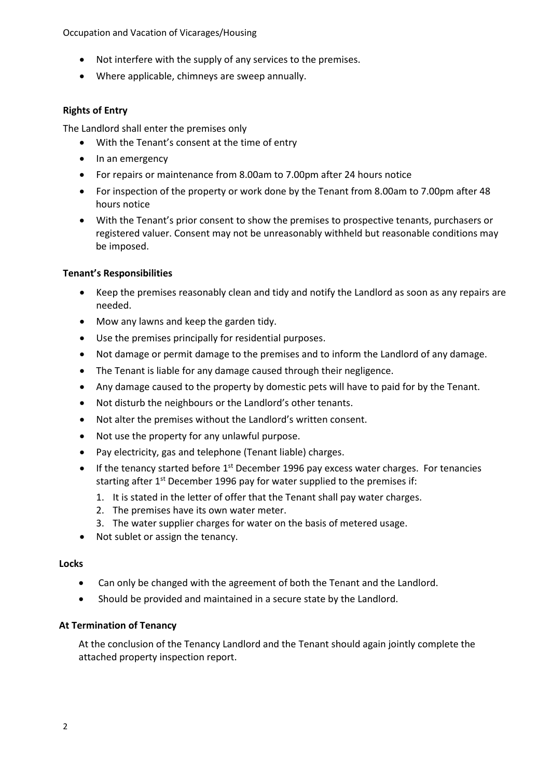Occupation and Vacation of Vicarages/Housing

- Not interfere with the supply of any services to the premises.
- Where applicable, chimneys are sweep annually.

# **Rights of Entry**

The Landlord shall enter the premises only

- With the Tenant's consent at the time of entry
- In an emergency
- For repairs or maintenance from 8.00am to 7.00pm after 24 hours notice
- For inspection of the property or work done by the Tenant from 8.00am to 7.00pm after 48 hours notice
- With the Tenant's prior consent to show the premises to prospective tenants, purchasers or registered valuer. Consent may not be unreasonably withheld but reasonable conditions may be imposed.

# **Tenant's Responsibilities**

- Keep the premises reasonably clean and tidy and notify the Landlord as soon as any repairs are needed.
- Mow any lawns and keep the garden tidy.
- Use the premises principally for residential purposes.
- Not damage or permit damage to the premises and to inform the Landlord of any damage.
- The Tenant is liable for any damage caused through their negligence.
- Any damage caused to the property by domestic pets will have to paid for by the Tenant.
- Not disturb the neighbours or the Landlord's other tenants.
- Not alter the premises without the Landlord's written consent.
- Not use the property for any unlawful purpose.
- Pay electricity, gas and telephone (Tenant liable) charges.
- If the tenancy started before  $1<sup>st</sup>$  December 1996 pay excess water charges. For tenancies starting after 1<sup>st</sup> December 1996 pay for water supplied to the premises if:
	- 1. It is stated in the letter of offer that the Tenant shall pay water charges.
	- 2. The premises have its own water meter.
	- 3. The water supplier charges for water on the basis of metered usage.
- Not sublet or assign the tenancy.

# **Locks**

- Can only be changed with the agreement of both the Tenant and the Landlord.
- Should be provided and maintained in a secure state by the Landlord.

# **At Termination of Tenancy**

At the conclusion of the Tenancy Landlord and the Tenant should again jointly complete the attached property inspection report.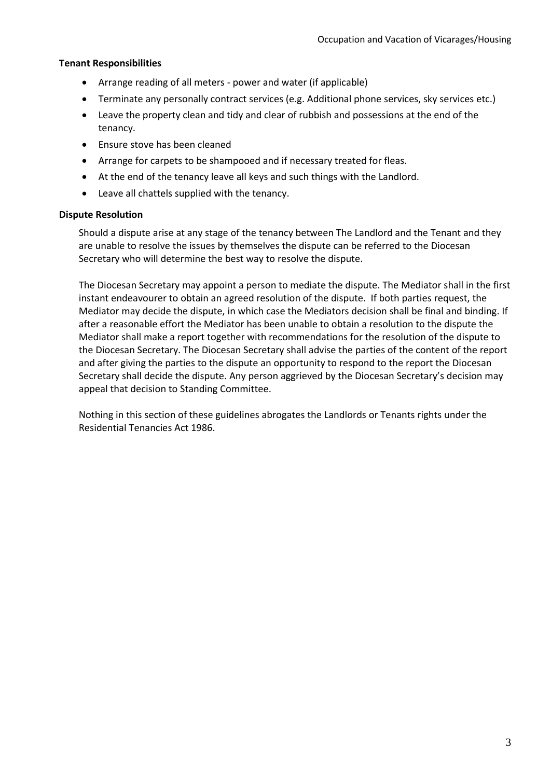# **Tenant Responsibilities**

- Arrange reading of all meters power and water (if applicable)
- Terminate any personally contract services (e.g. Additional phone services, sky services etc.)
- Leave the property clean and tidy and clear of rubbish and possessions at the end of the tenancy.
- Ensure stove has been cleaned
- Arrange for carpets to be shampooed and if necessary treated for fleas.
- At the end of the tenancy leave all keys and such things with the Landlord.
- Leave all chattels supplied with the tenancy.

#### **Dispute Resolution**

Should a dispute arise at any stage of the tenancy between The Landlord and the Tenant and they are unable to resolve the issues by themselves the dispute can be referred to the Diocesan Secretary who will determine the best way to resolve the dispute.

The Diocesan Secretary may appoint a person to mediate the dispute. The Mediator shall in the first instant endeavourer to obtain an agreed resolution of the dispute. If both parties request, the Mediator may decide the dispute, in which case the Mediators decision shall be final and binding. If after a reasonable effort the Mediator has been unable to obtain a resolution to the dispute the Mediator shall make a report together with recommendations for the resolution of the dispute to the Diocesan Secretary. The Diocesan Secretary shall advise the parties of the content of the report and after giving the parties to the dispute an opportunity to respond to the report the Diocesan Secretary shall decide the dispute. Any person aggrieved by the Diocesan Secretary's decision may appeal that decision to Standing Committee.

Nothing in this section of these guidelines abrogates the Landlords or Tenants rights under the Residential Tenancies Act 1986.